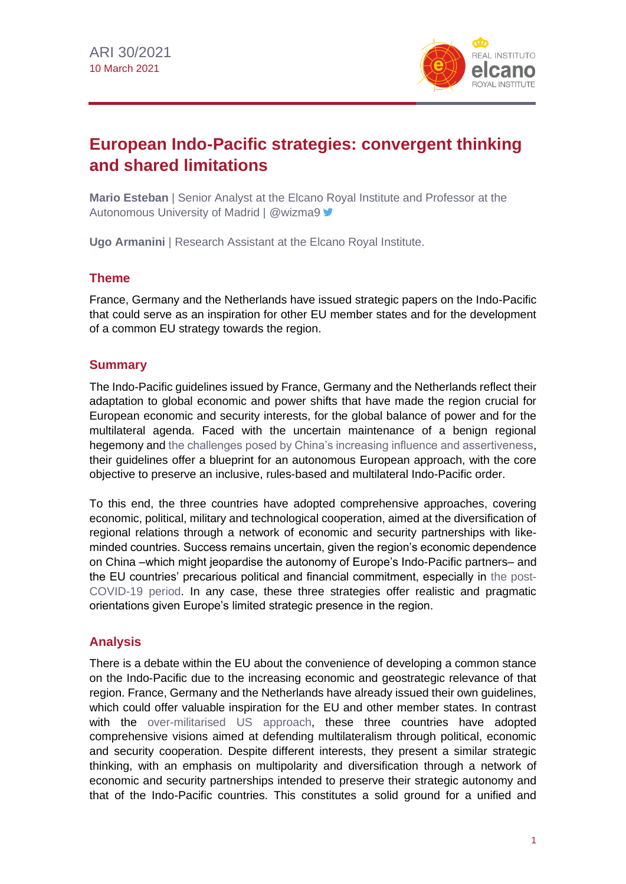

# **European Indo-Pacific strategies: convergent thinking and shared limitations**

**Mario Esteban** | Senior Analyst at the Elcano Royal Institute and Professor at the Autonomous University of Madrid | @wizma9

**Ugo Armanini** | Research Assistant at the Elcano Royal Institute.

## **Theme**

France, Germany and the Netherlands have issued strategic papers on the Indo-Pacific that could serve as an inspiration for other EU member states and for the development of a common EU strategy towards the region.

# **Summary**

The Indo-Pacific guidelines issued by France, Germany and the Netherlands reflect their adaptation to global economic and power shifts that have made the region crucial for European economic and security interests, for the global balance of power and for the multilateral agenda. Faced with the uncertain maintenance of a benign regional hegemony and [the challenges posed by China's increasing influence and assertiveness,](http://www.realinstitutoelcano.org/wps/portal/rielcano_en/publication?WCM_GLOBAL_CONTEXT=/elcano/elcano_in/publications/etnc-europe-in-the-face-of-us-china-rivalry) their guidelines offer a blueprint for an autonomous European approach, with the core objective to preserve an inclusive, rules-based and multilateral Indo-Pacific order.

To this end, the three countries have adopted comprehensive approaches, covering economic, political, military and technological cooperation, aimed at the diversification of regional relations through a network of economic and security partnerships with likeminded countries. Success remains uncertain, given the region's economic dependence on China –which might jeopardise the autonomy of Europe's Indo-Pacific partners– and the EU countries' precarious political and financial commitment, especially in [the post-](https://especiales.realinstitutoelcano.org/coronavirus/?lang=en)[COVID-19 period.](https://especiales.realinstitutoelcano.org/coronavirus/?lang=en) In any case, these three strategies offer realistic and pragmatic orientations given Europe's limited strategic presence in the region.

# **Analysis**

There is a debate within the EU about the convenience of developing a common stance on the Indo-Pacific due to the increasing economic and geostrategic relevance of that region. France, Germany and the Netherlands have already issued their own guidelines, which could offer valuable inspiration for the EU and other member states. In contrast with the [over-militarised US approach,](https://www.eastasiaforum.org/2019/07/03/washingtons-fragile-economic-plans-for-the-indo-pacific/) these three countries have adopted comprehensive visions aimed at defending multilateralism through political, economic and security cooperation. Despite different interests, they present a similar strategic thinking, with an emphasis on multipolarity and diversification through a network of economic and security partnerships intended to preserve their strategic autonomy and that of the Indo-Pacific countries. This constitutes a solid ground for a unified and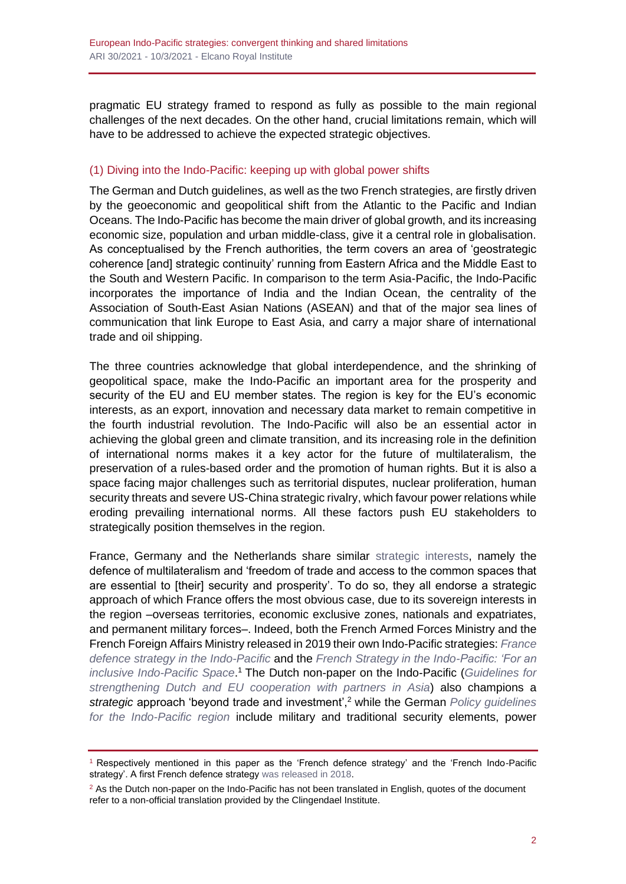pragmatic EU strategy framed to respond as fully as possible to the main regional challenges of the next decades. On the other hand, crucial limitations remain, which will have to be addressed to achieve the expected strategic objectives.

## (1) Diving into the Indo-Pacific: keeping up with global power shifts

The German and Dutch guidelines, as well as the two French strategies, are firstly driven by the geoeconomic and geopolitical shift from the Atlantic to the Pacific and Indian Oceans. The Indo-Pacific has become the main driver of global growth, and its increasing economic size, population and urban middle-class, give it a central role in globalisation. As conceptualised by the French authorities, the term covers an area of 'geostrategic coherence [and] strategic continuity' running from Eastern Africa and the Middle East to the South and Western Pacific. In comparison to the term Asia-Pacific, the Indo-Pacific incorporates the importance of India and the Indian Ocean, the centrality of the Association of South-East Asian Nations (ASEAN) and that of the major sea lines of communication that link Europe to East Asia, and carry a major share of international trade and oil shipping.

The three countries acknowledge that global interdependence, and the shrinking of geopolitical space, make the Indo-Pacific an important area for the prosperity and security of the EU and EU member states. The region is key for the EU's economic interests, as an export, innovation and necessary data market to remain competitive in the fourth industrial revolution. The Indo-Pacific will also be an essential actor in achieving the global green and climate transition, and its increasing role in the definition of international norms makes it a key actor for the future of multilateralism, the preservation of a rules-based order and the promotion of human rights. But it is also a space facing major challenges such as territorial disputes, nuclear proliferation, human security threats and severe US-China strategic rivalry, which favour power relations while eroding prevailing international norms. All these factors push EU stakeholders to strategically position themselves in the region.

France, Germany and the Netherlands share similar [strategic interests,](https://www.defense.gouv.fr/content/download/559608/9684004/file/France) namely the defence of multilateralism and 'freedom of trade and access to the common spaces that are essential to [their] security and prosperity'. To do so, they all endorse a strategic approach of which France offers the most obvious case, due to its sovereign interests in the region –overseas territories, economic exclusive zones, nationals and expatriates, and permanent military forces–. Indeed, both the French Armed Forces Ministry and the French Foreign Affairs Ministry released in 2019 their own Indo-Pacific strategies: *[France](https://www.defense.gouv.fr/content/download/559608/9684004/file/France)  [defence strategy in the Indo-Pacific](https://www.defense.gouv.fr/content/download/559608/9684004/file/France)* and the *[French Strategy in the Indo-Pacific: 'For an](https://www.diplomatie.gouv.fr/fr/dossiers-pays/asie-oceanie/la-zone-indopacifique-une-priorite-pour-la-france/)  [inclusive Indo-Pacific Space](https://www.diplomatie.gouv.fr/fr/dossiers-pays/asie-oceanie/la-zone-indopacifique-une-priorite-pour-la-france/)*. <sup>1</sup> The Dutch non-paper on the Indo-Pacific (*[Guidelines for](https://www.rijksoverheid.nl/binaries/rijksoverheid/documenten/publicaties/2020/11/13/indo-pacific-een-leidraad-voor-versterking-van-de-nederlandse-en-eu-samenwerking-met-partners-in-azie/indo-pacific-een-leidraad-voor-versterking-van-de-nederlandse-en-eu-samenwerking-met-partners-in-azie.pdf)  [strengthening Dutch and EU cooperation with partners in Asia](https://www.rijksoverheid.nl/binaries/rijksoverheid/documenten/publicaties/2020/11/13/indo-pacific-een-leidraad-voor-versterking-van-de-nederlandse-en-eu-samenwerking-met-partners-in-azie/indo-pacific-een-leidraad-voor-versterking-van-de-nederlandse-en-eu-samenwerking-met-partners-in-azie.pdf)*) also champions a *strategic* approach 'beyond trade and investment',<sup>2</sup> while the German *[Policy guidelines](https://www.auswaertiges-amt.de/blob/2380514/f9784f7e3b3fa1bd7c5446d274a4169e/200901-indo-pazifik-leitlinien--1--data.pdf)  [for the Indo-Pacific region](https://www.auswaertiges-amt.de/blob/2380514/f9784f7e3b3fa1bd7c5446d274a4169e/200901-indo-pazifik-leitlinien--1--data.pdf)* include military and traditional security elements, power

<sup>1</sup> Respectively mentioned in this paper as the 'French defence strategy' and the 'French Indo-Pacific strategy'. A first French defence strategy [was released in 2018.](https://www.defense.gouv.fr/layout/set/print/content/download/532751/9176232/version/2/file/La+France+et+la+s%C3%A9curit%C3%A9+en+Indopacifique+-+2019.pdf)

 $<sup>2</sup>$  As the Dutch non-paper on the Indo-Pacific has not been translated in English, quotes of the document</sup> refer to a non-official translation provided by the Clingendael Institute.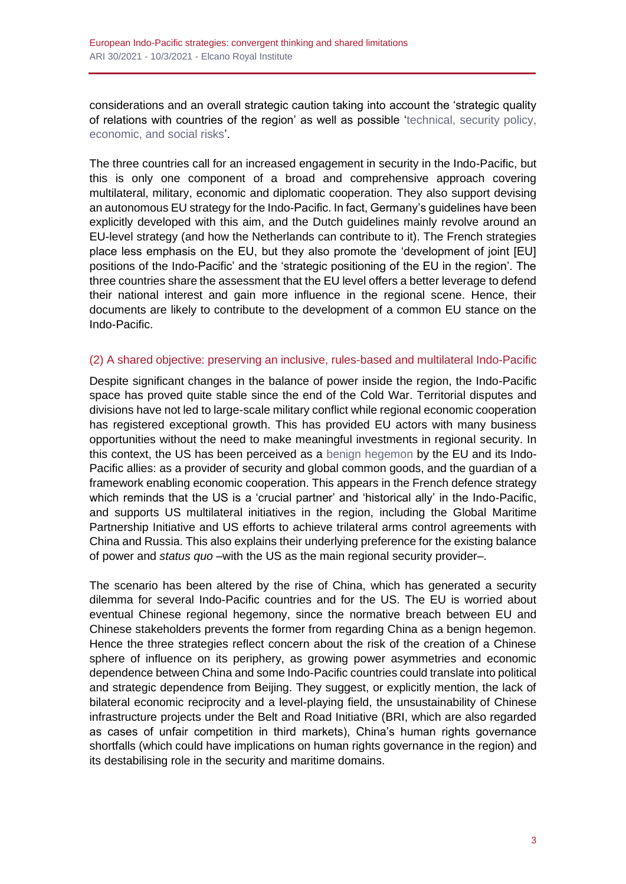considerations and an overall strategic caution taking into account the 'strategic quality of relations with countries of the region' as well as possible ['technical, security policy,](https://rangun.diplo.de/blob/2380824/a27b62057f2d2675ce2bbfc5be01099a/policy-guidelines-summary-data.pdf#page=5)  [economic, and social risks'.](https://rangun.diplo.de/blob/2380824/a27b62057f2d2675ce2bbfc5be01099a/policy-guidelines-summary-data.pdf#page=5)

The three countries call for an increased engagement in security in the Indo-Pacific, but this is only one component of a broad and comprehensive approach covering multilateral, military, economic and diplomatic cooperation. They also support devising an autonomous EU strategy for the Indo-Pacific. In fact, Germany's guidelines have been explicitly developed with this aim, and the Dutch guidelines mainly revolve around an EU-level strategy (and how the Netherlands can contribute to it). The French strategies place less emphasis on the EU, but they also promote the 'development of joint [EU] positions of the Indo-Pacific' and the 'strategic positioning of the EU in the region'. The three countries share the assessment that the EU level offers a better leverage to defend their national interest and gain more influence in the regional scene. Hence, their documents are likely to contribute to the development of a common EU stance on the Indo-Pacific.

#### (2) A shared objective: preserving an inclusive, rules-based and multilateral Indo-Pacific

Despite significant changes in the balance of power inside the region, the Indo-Pacific space has proved quite stable since the end of the Cold War. Territorial disputes and divisions have not led to large-scale military conflict while regional economic cooperation has registered exceptional growth. This has provided EU actors with many business opportunities without the need to make meaningful investments in regional security. In this context, the US has been perceived as a [benign hegemon](https://www.iai.it/en/pubblicazioni/surviving-end-us-hegemony) by the EU and its Indo-Pacific allies: as a provider of security and global common goods, and the guardian of a framework enabling economic cooperation. This appears in the French defence strategy which reminds that the US is a 'crucial partner' and 'historical ally' in the Indo-Pacific, and supports US multilateral initiatives in the region, including the Global Maritime Partnership Initiative and US efforts to achieve trilateral arms control agreements with China and Russia. This also explains their underlying preference for the existing balance of power and *status quo* –with the US as the main regional security provider–.

The scenario has been altered by the rise of China, which has generated a security dilemma for several Indo-Pacific countries and for the US. The EU is worried about eventual Chinese regional hegemony, since the normative breach between EU and Chinese stakeholders prevents the former from regarding China as a benign hegemon. Hence the three strategies reflect concern about the risk of the creation of a Chinese sphere of influence on its periphery, as growing power asymmetries and economic dependence between China and some Indo-Pacific countries could translate into political and strategic dependence from Beijing. They suggest, or explicitly mention, the lack of bilateral economic reciprocity and a level-playing field, the unsustainability of Chinese infrastructure projects under the Belt and Road Initiative (BRI, which are also regarded as cases of unfair competition in third markets), China's human rights governance shortfalls (which could have implications on human rights governance in the region) and its destabilising role in the security and maritime domains.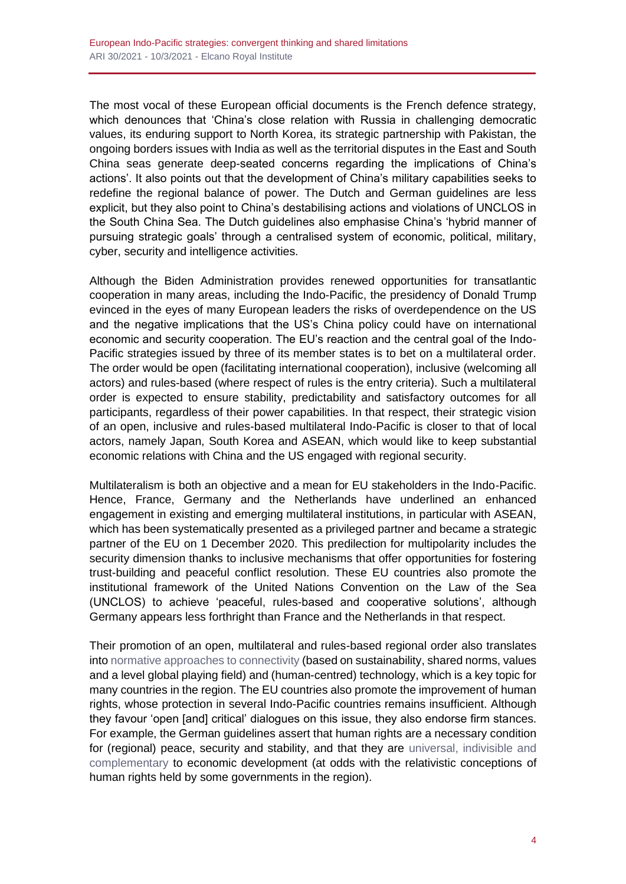The most vocal of these European official documents is the French defence strategy, which denounces that 'China's close relation with Russia in challenging democratic values, its enduring support to North Korea, its strategic partnership with Pakistan, the ongoing borders issues with India as well as the territorial disputes in the East and South China seas generate deep-seated concerns regarding the implications of China's actions'. It also points out that the development of China's military capabilities seeks to redefine the regional balance of power. The Dutch and German guidelines are less explicit, but they also point to China's destabilising actions and violations of UNCLOS in the South China Sea. The Dutch guidelines also emphasise China's 'hybrid manner of pursuing strategic goals' through a centralised system of economic, political, military, cyber, security and intelligence activities.

Although the Biden Administration provides renewed opportunities for transatlantic cooperation in many areas, including the Indo-Pacific, the presidency of Donald Trump evinced in the eyes of many European leaders the risks of overdependence on the US and the negative implications that the US's China policy could have on international economic and security cooperation. The EU's reaction and the central goal of the Indo-Pacific strategies issued by three of its member states is to bet on a multilateral order. The order would be open (facilitating international cooperation), inclusive (welcoming all actors) and rules-based (where respect of rules is the entry criteria). Such a multilateral order is expected to ensure stability, predictability and satisfactory outcomes for all participants, regardless of their power capabilities. In that respect, their strategic vision of an open, inclusive and rules-based multilateral Indo-Pacific is closer to that of local actors, namely Japan, South Korea and ASEAN, which would like to keep substantial economic relations with China and the US engaged with regional security.

Multilateralism is both an objective and a mean for EU stakeholders in the Indo-Pacific. Hence, France, Germany and the Netherlands have underlined an enhanced engagement in existing and emerging multilateral institutions, in particular with ASEAN, which has been systematically presented as a privileged partner and became a strategic partner of the EU on 1 December 2020. This predilection for multipolarity includes the security dimension thanks to inclusive mechanisms that offer opportunities for fostering trust-building and peaceful conflict resolution. These EU countries also promote the institutional framework of the United Nations Convention on the Law of the Sea (UNCLOS) to achieve 'peaceful, rules-based and cooperative solutions', although Germany appears less forthright than France and the Netherlands in that respect.

Their promotion of an open, multilateral and rules-based regional order also translates into [normative approaches to connectivity](http://www.realinstitutoelcano.org/wps/portal/rielcano_en/contenido?WCM_GLOBAL_CONTEXT=/elcano/elcano_in/zonas_in/ari12-2020-esteban-armanini-eu-japan-connectivity-partnership-sustainable-initiative-awaiting-materialisation) (based on sustainability, shared norms, values and a level global playing field) and (human-centred) technology, which is a key topic for many countries in the region. The EU countries also promote the improvement of human rights, whose protection in several Indo-Pacific countries remains insufficient. Although they favour 'open [and] critical' dialogues on this issue, they also endorse firm stances. For example, the German guidelines assert that human rights are a necessary condition for (regional) peace, security and stability, and that they are [universal, indivisible and](https://www.auswaertiges-amt.de/blob/2380514/f9784f7e3b3fa1bd7c5446d274a4169e/200901-indo-pazifik-leitlinien--1--data.pdf#page=11)  [complementary](https://www.auswaertiges-amt.de/blob/2380514/f9784f7e3b3fa1bd7c5446d274a4169e/200901-indo-pazifik-leitlinien--1--data.pdf#page=11) to economic development (at odds with the relativistic conceptions of human rights held by some governments in the region).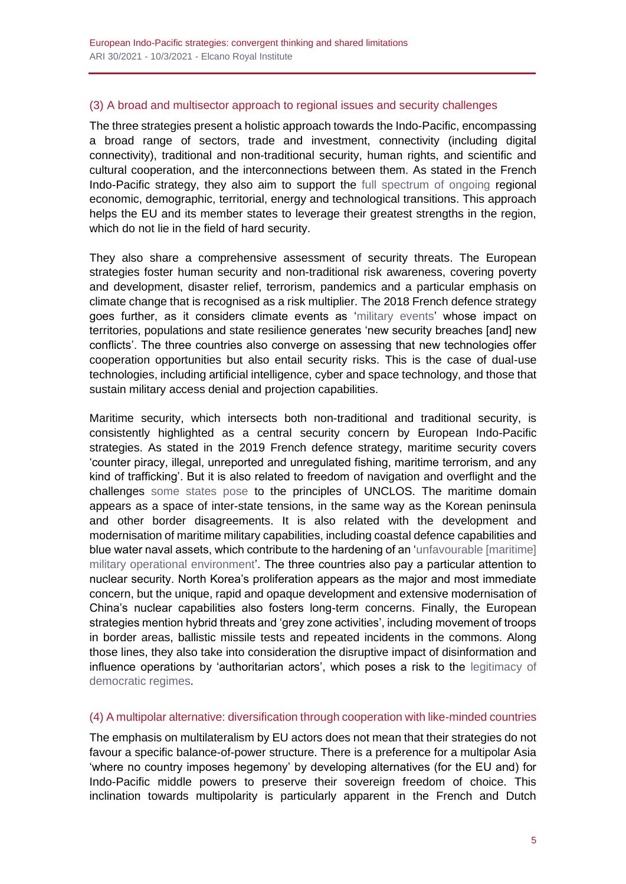## (3) A broad and multisector approach to regional issues and security challenges

The three strategies present a holistic approach towards the Indo-Pacific, encompassing a broad range of sectors, trade and investment, connectivity (including digital connectivity), traditional and non-traditional security, human rights, and scientific and cultural cooperation, and the interconnections between them. As stated in the French Indo-Pacific strategy, they also aim to support the [full spectrum of ongoing](https://www.diplomatie.gouv.fr/spip.php?page=pdfjs&id_document=170858#page=17) regional economic, demographic, territorial, energy and technological transitions. This approach helps the EU and its member states to leverage their greatest strengths in the region, which do not lie in the field of hard security.

They also share a comprehensive assessment of security threats. The European strategies foster human security and non-traditional risk awareness, covering poverty and development, disaster relief, terrorism, pandemics and a particular emphasis on climate change that is recognised as a risk multiplier. The 2018 French defence strategy goes further, as it considers climate events as ['military events'](https://www.defense.gouv.fr/layout/set/print/content/download/532751/9176232/version/2/file/La+France+et+la+s%C3%A9curit%C3%A9+en+Indopacifique+-+2019.pdf#page=12) whose impact on territories, populations and state resilience generates 'new security breaches [and] new conflicts'. The three countries also converge on assessing that new technologies offer cooperation opportunities but also entail security risks. This is the case of dual-use technologies, including artificial intelligence, cyber and space technology, and those that sustain military access denial and projection capabilities.

Maritime security, which intersects both non-traditional and traditional security, is consistently highlighted as a central security concern by European Indo-Pacific strategies. As stated in the 2019 French defence strategy, maritime security covers 'counter piracy, illegal, unreported and unregulated fishing, maritime terrorism, and any kind of trafficking'. But it is also related to freedom of navigation and overflight and the challenges [some states pose](https://www.defense.gouv.fr/layout/set/print/content/download/532751/9176232/version/2/file/La+France+et+la+sécurité+en+Indopacifique+-+2019.pdf#page=2) to the principles of UNCLOS. The maritime domain appears as a space of inter-state tensions, in the same way as the Korean peninsula and other border disagreements. It is also related with the development and modernisation of maritime military capabilities, including coastal defence capabilities and blue water naval assets, which contribute to the hardening of an 'unfavourable [maritime] [military operational environment'](https://www.defense.gouv.fr/content/download/559608/9684004/file/France). The three countries also pay a particular attention to nuclear security. North Korea's proliferation appears as the major and most immediate concern, but the unique, rapid and opaque development and extensive modernisation of China's nuclear capabilities also fosters long-term concerns. Finally, the European strategies mention hybrid threats and 'grey zone activities', including movement of troops in border areas, ballistic missile tests and repeated incidents in the commons. Along those lines, they also take into consideration the disruptive impact of disinformation and influence operations by 'authoritarian actors', which poses a risk to the [legitimacy of](https://www.defense.gouv.fr/content/download/559608/9684004/file/France)  [democratic regimes.](https://www.defense.gouv.fr/content/download/559608/9684004/file/France)

#### (4) A multipolar alternative: diversification through cooperation with like-minded countries

The emphasis on multilateralism by EU actors does not mean that their strategies do not favour a specific balance-of-power structure. There is a preference for a multipolar Asia 'where no country imposes hegemony' by developing alternatives (for the EU and) for Indo-Pacific middle powers to preserve their sovereign freedom of choice. This inclination towards multipolarity is particularly apparent in the French and Dutch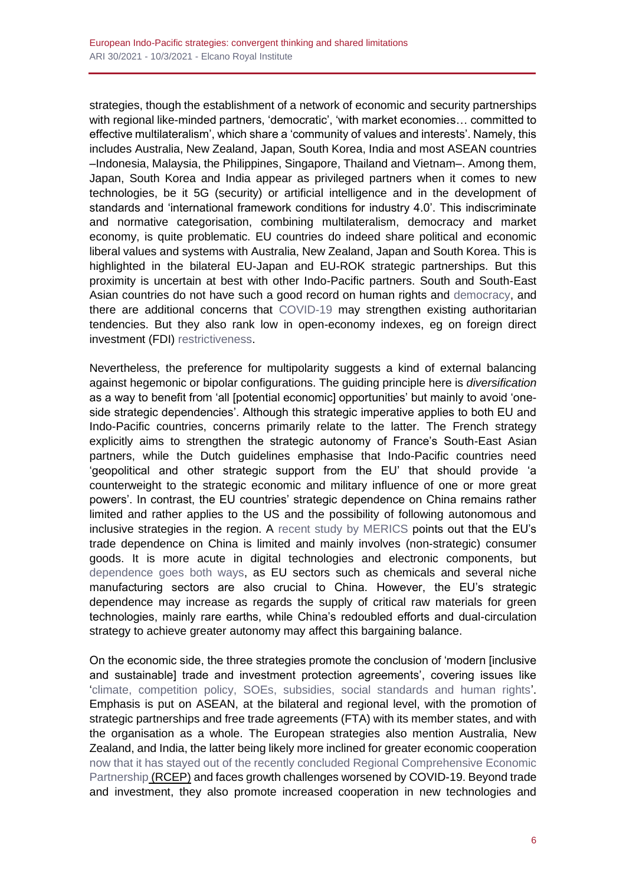strategies, though the establishment of a network of economic and security partnerships with regional like-minded partners, 'democratic', 'with market economies… committed to effective multilateralism', which share a 'community of values and interests'. Namely, this includes Australia, New Zealand, Japan, South Korea, India and most ASEAN countries –Indonesia, Malaysia, the Philippines, Singapore, Thailand and Vietnam–. Among them, Japan, South Korea and India appear as privileged partners when it comes to new technologies, be it 5G (security) or artificial intelligence and in the development of standards and 'international framework conditions for industry 4.0'. This indiscriminate and normative categorisation, combining multilateralism, democracy and market economy, is quite problematic. EU countries do indeed share political and economic liberal values and systems with Australia, New Zealand, Japan and South Korea. This is highlighted in the bilateral EU-Japan and EU-ROK strategic partnerships. But this proximity is uncertain at best with other Indo-Pacific partners. South and South-East Asian countries do not have such a good record on human rights and [democracy,](https://www.in.gr/wp-content/uploads/2020/01/Democracy-Index-2019.pdf#page=12) and there are additional concerns that [COVID-19](https://blogs.lse.ac.uk/seac/2020/10/01/southeast-asias-pandemic-politics-and-human-rights-trends-and-lessons/) may strengthen existing authoritarian tendencies. But they also rank low in open-economy indexes, eg on foreign direct investment (FDI) [restrictiveness.](https://stats.oecd.org/Index.aspx?datasetcode=FDIINDEX)

Nevertheless, the preference for multipolarity suggests a kind of external balancing against hegemonic or bipolar configurations. The guiding principle here is *diversification* as a way to benefit from 'all [potential economic] opportunities' but mainly to avoid 'oneside strategic dependencies'. Although this strategic imperative applies to both EU and Indo-Pacific countries, concerns primarily relate to the latter. The French strategy explicitly aims to strengthen the strategic autonomy of France's South-East Asian partners, while the Dutch guidelines emphasise that Indo-Pacific countries need 'geopolitical and other strategic support from the EU' that should provide 'a counterweight to the strategic economic and military influence of one or more great powers'. In contrast, the EU countries' strategic dependence on China remains rather limited and rather applies to the US and the possibility of following autonomous and inclusive strategies in the region. A [recent study by MERICS](https://merics.org/en/report/mapping-and-recalibrating-europes-economic-interdependence-china) points out that the EU's trade dependence on China is limited and mainly involves (non-strategic) consumer goods. It is more acute in digital technologies and electronic components, but [dependence goes both ways,](https://www.swp-berlin.org/fileadmin/contents/products/research_papers/2020RP04_China_USA.pdf#page=35) as EU sectors such as chemicals and several niche manufacturing sectors are also crucial to China. However, the EU's strategic dependence may increase as regards the supply of critical raw materials for green technologies, mainly rare earths, while China's redoubled efforts and dual-circulation strategy to achieve greater autonomy may affect this bargaining balance.

On the economic side, the three strategies promote the conclusion of 'modern [inclusive and sustainable] trade and investment protection agreements', covering issues like ['climate, competition policy, SOEs, subsidies, social standards and human rights'](https://www.auswaertiges-amt.de/blob/2380514/f9784f7e3b3fa1bd7c5446d274a4169e/200901-indo-pazifik-leitlinien--1--data.pdf#page=11). Emphasis is put on ASEAN, at the bilateral and regional level, with the promotion of strategic partnerships and free trade agreements (FTA) with its member states, and with the organisation as a whole. The European strategies also mention Australia, New Zealand, and India, the latter being likely more inclined for greater economic cooperation [now that it has stayed out of the recently concluded Regional Comprehensive Economic](https://thediplomat.com/2020/12/indias-out-of-rcep-whats-next-for-the-country-and-free-trade/)  [Partnership](https://thediplomat.com/2020/12/indias-out-of-rcep-whats-next-for-the-country-and-free-trade/) (RCEP) and faces growth challenges worsened by COVID-19. Beyond trade and investment, they also promote increased cooperation in new technologies and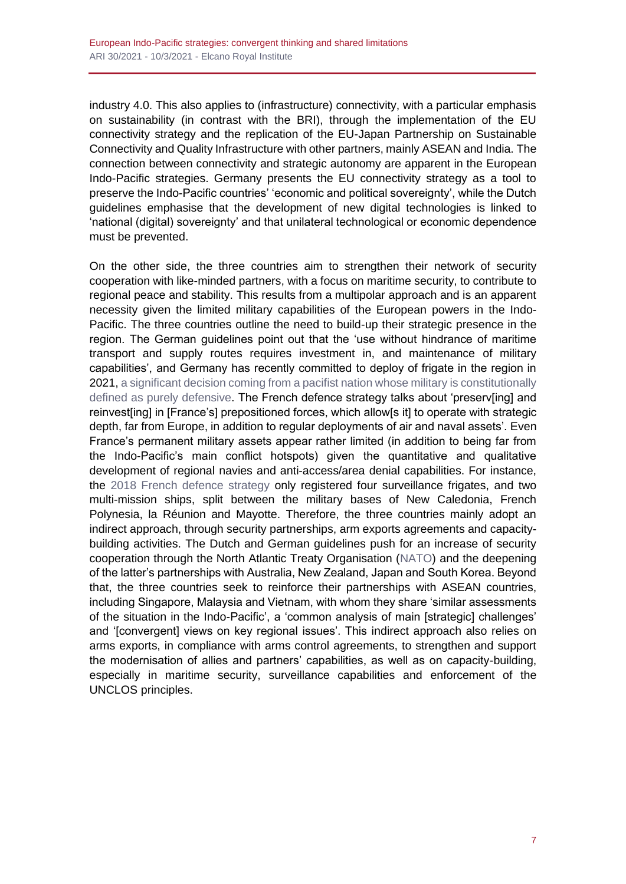industry 4.0. This also applies to (infrastructure) connectivity, with a particular emphasis on sustainability (in contrast with the BRI), through the implementation of the EU connectivity strategy and the replication of the EU-Japan Partnership on Sustainable Connectivity and Quality Infrastructure with other partners, mainly ASEAN and India. The connection between connectivity and strategic autonomy are apparent in the European Indo-Pacific strategies. Germany presents the EU connectivity strategy as a tool to preserve the Indo-Pacific countries' 'economic and political sovereignty', while the Dutch guidelines emphasise that the development of new digital technologies is linked to 'national (digital) sovereignty' and that unilateral technological or economic dependence must be prevented.

On the other side, the three countries aim to strengthen their network of security cooperation with like-minded partners, with a focus on maritime security, to contribute to regional peace and stability. This results from a multipolar approach and is an apparent necessity given the limited military capabilities of the European powers in the Indo-Pacific. The three countries outline the need to build-up their strategic presence in the region. The German guidelines point out that the 'use without hindrance of maritime transport and supply routes requires investment in, and maintenance of military capabilities', and Germany has recently committed to deploy of frigate in the region in 2021, a significant decision coming from a pacifist nation whose military is constitutionally [defined as purely defensive.](https://www.lowyinstitute.org/the-interpreter/outlines-european-policy-indo-pacific) The French defence strategy talks about 'preserv[ing] and reinvest[ing] in [France's] prepositioned forces, which allow[s it] to operate with strategic depth, far from Europe, in addition to regular deployments of air and naval assets'. Even France's permanent military assets appear rather limited (in addition to being far from the Indo-Pacific's main conflict hotspots) given the quantitative and qualitative development of regional navies and anti-access/area denial capabilities. For instance, the [2018 French defence strategy](https://www.defense.gouv.fr/layout/set/print/content/download/532751/9176232/version/2/file/La+France+et+la+s%C3%A9curit%C3%A9+en+Indopacifique+-+2019.pdf#page=7) only registered four surveillance frigates, and two multi-mission ships, split between the military bases of New Caledonia, French Polynesia, la Réunion and Mayotte. Therefore, the three countries mainly adopt an indirect approach, through security partnerships, arm exports agreements and capacitybuilding activities. The Dutch and German guidelines push for an increase of security cooperation through the North Atlantic Treaty Organisation [\(NATO\)](https://www.auswaertiges-amt.de/blob/2380514/f9784f7e3b3fa1bd7c5446d274a4169e/200901-indo-pazifik-leitlinien--1--data.pdf#page=11) and the deepening of the latter's partnerships with Australia, New Zealand, Japan and South Korea. Beyond that, the three countries seek to reinforce their partnerships with ASEAN countries, including Singapore, Malaysia and Vietnam, with whom they share 'similar assessments of the situation in the Indo-Pacific', a 'common analysis of main [strategic] challenges' and '[convergent] views on key regional issues'. This indirect approach also relies on arms exports, in compliance with arms control agreements, to strengthen and support the modernisation of allies and partners' capabilities, as well as on capacity-building, especially in maritime security, surveillance capabilities and enforcement of the UNCLOS principles.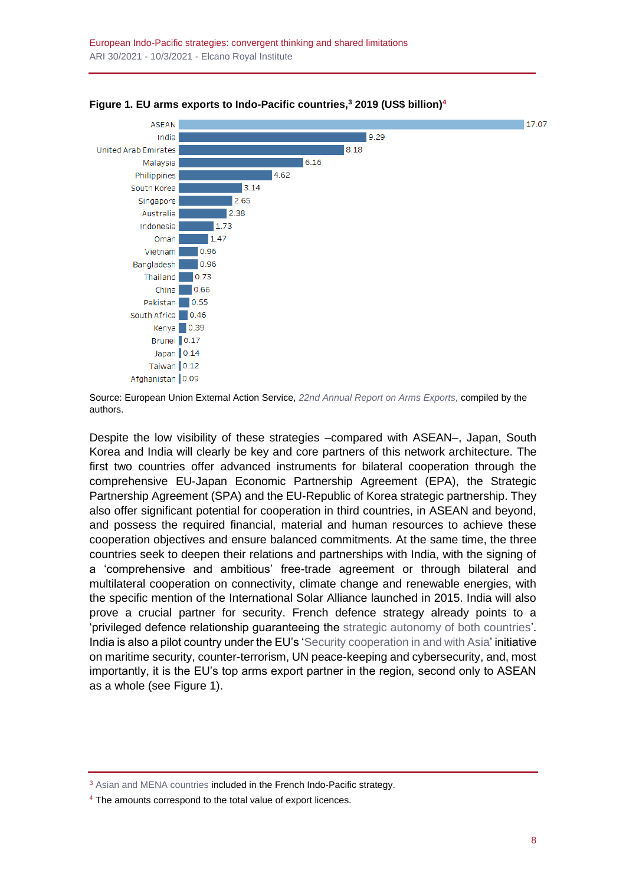



Despite the low visibility of these strategies –compared with ASEAN–, Japan, South Korea and India will clearly be key and core partners of this network architecture. The first two countries offer advanced instruments for bilateral cooperation through the comprehensive EU-Japan Economic Partnership Agreement (EPA), the Strategic Partnership Agreement (SPA) and the EU-Republic of Korea strategic partnership. They also offer significant potential for cooperation in third countries, in ASEAN and beyond, and possess the required financial, material and human resources to achieve these cooperation objectives and ensure balanced commitments. At the same time, the three countries seek to deepen their relations and partnerships with India, with the signing of a 'comprehensive and ambitious' free-trade agreement or through bilateral and multilateral cooperation on connectivity, climate change and renewable energies, with the specific mention of the International Solar Alliance launched in 2015. India will also prove a crucial partner for security. French defence strategy already points to a 'privileged defence relationship guaranteeing the [strategic autonomy of both countries'](https://www.defense.gouv.fr/content/download/559608/9684004/file/France). India is also a pilot country under the EU's ['Security cooperation in and with Asia'](https://www.auswaertiges-amt.de/blob/2380514/f9784f7e3b3fa1bd7c5446d274a4169e/200901-indo-pazifik-leitlinien--1--data.pdf#page=41) initiative on maritime security, counter-terrorism, UN peace-keeping and cybersecurity, and, most importantly, it is the EU's top arms export partner in the region, second only to ASEAN as a whole (see Figure 1).

Source: European Union External Action Service, *[22nd Annual Report on Arms Exports](https://eur-lex.europa.eu/legal-content/EN/TXT/PDF/?uri=CELEX:52020XG1211(03)&from=EN#page=144)*, compiled by the authors.

<sup>&</sup>lt;sup>3</sup> [Asian and MENA countries](https://www.diplomatie.gouv.fr/spip.php?page=pdfjs&id_document=170857#page=12&zoom=auto) included in the French Indo-Pacific strategy.

<sup>&</sup>lt;sup>4</sup> The amounts correspond to the total value of export licences.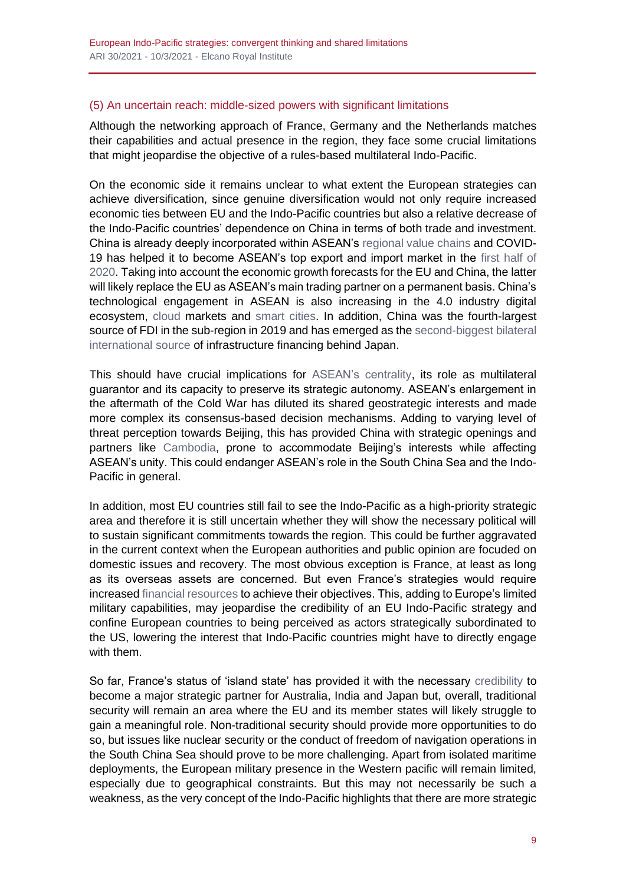## (5) An uncertain reach: middle-sized powers with significant limitations

Although the networking approach of France, Germany and the Netherlands matches their capabilities and actual presence in the region, they face some crucial limitations that might jeopardise the objective of a rules-based multilateral Indo-Pacific.

On the economic side it remains unclear to what extent the European strategies can achieve diversification, since genuine diversification would not only require increased economic ties between EU and the Indo-Pacific countries but also a relative decrease of the Indo-Pacific countries' dependence on China in terms of both trade and investment. China is already deeply incorporated within ASEAN's [regional value chains](https://www.asean.or.jp/en/wp-content/uploads/sites/3/GVC_A-Regional-Perspective_Paper-1-Revised_2019_full_web.pdf) and COVID-19 has helped it to become ASEAN's top export and import market in the [first half of](https://asean.org/storage/47-Final-Chairmans-Statement-of-the-23rd-ASEAN-China-Summit.pdf)  [2020.](https://asean.org/storage/47-Final-Chairmans-Statement-of-the-23rd-ASEAN-China-Summit.pdf) Taking into account the economic growth forecasts for the EU and China, the latter will likely replace the EU as ASEAN's main trading partner on a permanent basis. China's technological engagement in ASEAN is also increasing in the 4.0 industry digital ecosystem, [cloud](https://www.ft.com/content/1e2b9cd9-f82e-4d3b-a2d8-f20c08bdc3aa) markets and [smart cities.](https://lkyspp.nus.edu.sg/gia/article/smart-cities-the-future-of-asean-china-cooperation) In addition, China was the fourth-largest source of FDI in the sub-region in 2019 and has emerged as th[e second-biggest bilateral](https://www.asiaglobalonline.hku.hk/aseans-infrastructure-dilemma/)  [international source](https://www.asiaglobalonline.hku.hk/aseans-infrastructure-dilemma/) of infrastructure financing behind Japan.

This should have crucial implications for [ASEAN's centrality,](https://thediplomat.com/2020/09/sebastian-strangio-on-southeast-asia-in-the-dragons-shadow/) its role as multilateral guarantor and its capacity to preserve its strategic autonomy. ASEAN's enlargement in the aftermath of the Cold War has diluted its shared geostrategic interests and made more complex its consensus-based decision mechanisms. Adding to varying level of threat perception towards Beijing, this has provided China with strategic openings and partners like [Cambodia,](https://www.cfr.org/blog/review-under-beijings-shadow-southeast-asias-china-challenge-murray-hiebert) prone to accommodate Beijing's interests while affecting ASEAN's unity. This could endanger ASEAN's role in the South China Sea and the Indo-Pacific in general.

In addition, most EU countries still fail to see the Indo-Pacific as a high-priority strategic area and therefore it is still uncertain whether they will show the necessary political will to sustain significant commitments towards the region. This could be further aggravated in the current context when the European authorities and public opinion are focuded on domestic issues and recovery. The most obvious exception is France, at least as long as its overseas assets are concerned. But even France's strategies would require increased [financial resources](https://thediplomat.com/2020/12/is-france-capable-of-being-an-indo-pacific-power/) to achieve their objectives. This, adding to Europe's limited military capabilities, may jeopardise the credibility of an EU Indo-Pacific strategy and confine European countries to being perceived as actors strategically subordinated to the US, lowering the interest that Indo-Pacific countries might have to directly engage with them.

So far, France's status of 'island state' has provided it with the necessary [credibility](https://carnegieendowment.org/2020/10/21/france-other-indo-pacific-power-pub-83000) to become a major strategic partner for Australia, India and Japan but, overall, traditional security will remain an area where the EU and its member states will likely struggle to gain a meaningful role. Non-traditional security should provide more opportunities to do so, but issues like nuclear security or the conduct of freedom of navigation operations in the South China Sea should prove to be more challenging. Apart from isolated maritime deployments, the European military presence in the Western pacific will remain limited, especially due to geographical constraints. But this may not necessarily be such a weakness, as the very concept of the Indo-Pacific highlights that there are more strategic